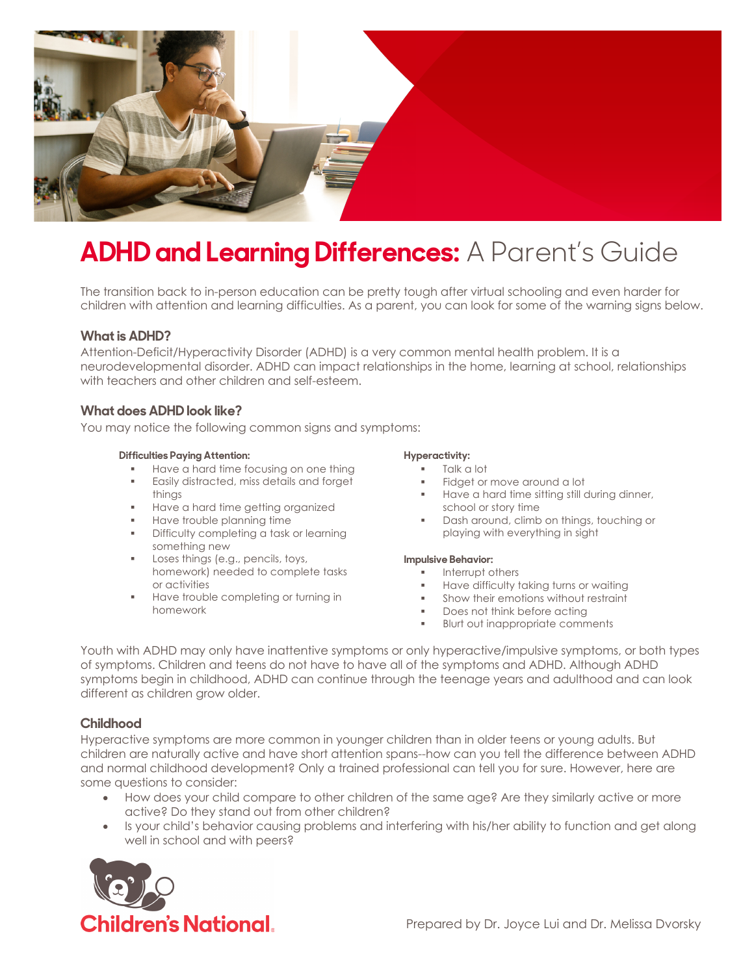

# **ADHD and Learning Differences:** A Parent's Guide

The transition back to in-person education can be pretty tough after virtual schooling and even harder for children with attention and learning difficulties. As a parent, you can look for some of the warning signs below.

## **Whatis ADHD?**

Attention-Deficit/Hyperactivity Disorder (ADHD) is a very common mental health problem. It is a neurodevelopmental disorder. ADHD can impact relationships in the home, learning at school, relationships with teachers and other children and self-esteem.

# **What does ADHD look like?**

You may notice the following common signs and symptoms:

#### **Difficulties Paying Attention:**

- **■** Have a hard time focusing on one thing
- **Easily distracted, miss details and forget** things
- § Have a hard time getting organized
- **EXECUTE:** Have trouble planning time
- **•** Difficulty completing a task or learning something new
- Loses things (e.g., pencils, toys, homework) needed to complete tasks or activities
- § Have trouble completing or turning in homework

#### **Hyperactivity:**

- § Talk a lot
- Fidget or move around a lot
- **■** Have a hard time sitting still during dinner, school or story time
- § Dash around, climb on things, touching or playing with everything in sight

#### **Impulsive Behavior:**

- **■** Interrupt others
- § Have difficulty taking turns or waiting
- § Show their emotions without restraint
- Does not think before acting
- § Blurt out inappropriate comments

Youth with ADHD may only have inattentive symptoms or only hyperactive/impulsive symptoms, or both types of symptoms. Children and teens do not have to have all of the symptoms and ADHD. Although ADHD symptoms begin in childhood, ADHD can continue through the teenage years and adulthood and can look different as children grow older.

## **Childhood**

Hyperactive symptoms are more common in younger children than in older teens or young adults. But children are naturally active and have short attention spans--how can you tell the difference between ADHD and normal childhood development? Only a trained professional can tell you for sure. However, here are some questions to consider:

- How does your child compare to other children of the same age? Are they similarly active or more active? Do they stand out from other children?
- Is your child's behavior causing problems and interfering with his/her ability to function and get along well in school and with peers?